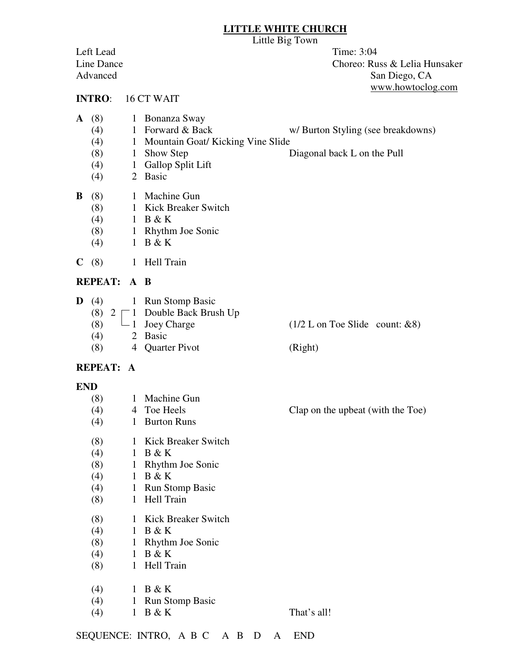#### **LITTLE WHITE CHURCH**

Little Big Town

Left Lead Time: 3:04

Line Dance Choreo: Russ & Lelia Hunsaker Advanced San Diego, CA www.howtoclog.com

#### **INTRO**: 16 CT WAIT

- **A** (8) 1 Bonanza Sway
	-
	- (4) 1 Forward & Back w/ Burton Styling (see breakdowns)
	- (4) 1 Mountain Goat/ Kicking Vine Slide
	- (8) 1 Show Step Diagonal back L on the Pull
	- (4) 1 Gallop Split Lift
	- (4) 2 Basic

|  | $\mathbf{B}$ (8) |  | 1 Machine Gun |
|--|------------------|--|---------------|
|--|------------------|--|---------------|

- (8) 1 Kick Breaker Switch
- (4)  $1 B & K$
- (8) 1 Rhythm Joe Sonic
- (4) 1 B & K
- **C** (8) 1 Hell Train

### **REPEAT: A B**

**D** (4) 1 Run Stomp Basic (8)  $2 \sqsubset 1$  Double Back Brush Up (8)  $\Box$  1 Joey Charge (1/2 L on Toe Slide count: &8) (4) 2 Basic (8) 4 Quarter Pivot (Right)

### **REPEAT: A**

### **END**

- (8)  $1$  Machine Gun<br>(4)  $4$  Toe Heels (4) 4 Toe Heels Clap on the upbeat (with the Toe) (4) 1 Burton Runs (8) 1 Kick Breaker Switch (4)  $1 B & K$  (8) 1 Rhythm Joe Sonic (4) 1 B & K (4) 1 Run Stomp Basic (8) 1 Hell Train (8) 1 Kick Breaker Switch (4) 1 B & K (8) 1 Rhythm Joe Sonic
- (4) 1 B & K
- (8) 1 Hell Train
- (4)  $1 B & K$
- (4) 1 Run Stomp Basic
- (4)  $1 \text{ B} \& K$  That's all!

SEQUENCE: INTRO, A B C A B D A END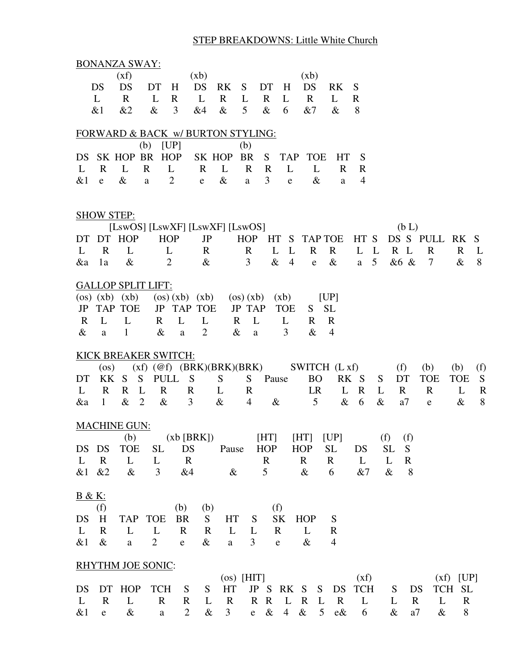# STEP BREAKDOWNS: Little White Church

|                   |                   | <b>BONANZA SWAY:</b> |                           |                                   |                |              |                |              |                |              |                |                |                 |                 |             |             |              |              |
|-------------------|-------------------|----------------------|---------------------------|-----------------------------------|----------------|--------------|----------------|--------------|----------------|--------------|----------------|----------------|-----------------|-----------------|-------------|-------------|--------------|--------------|
|                   |                   | (xf)                 |                           | (xb)                              |                |              |                |              |                | (xb)         |                |                |                 |                 |             |             |              |              |
|                   | DS                | DS                   | DT                        | H                                 | DS             | RK           | S              | DT           | H              | DS           |                | RK             | S               |                 |             |             |              |              |
|                   | L                 | $\mathbf{R}$         | L                         | R                                 | L              | $\mathbf R$  | L              | $\mathbf{R}$ | L              | $\mathbf R$  |                | L              | R               |                 |             |             |              |              |
|                   | &1                | &2                   | $\&$                      | 3                                 | &4             | $\&$         | 5              | $\&$         | 6              | &7           |                | $\&$           | 8               |                 |             |             |              |              |
|                   |                   |                      |                           |                                   |                |              |                |              |                |              |                |                |                 |                 |             |             |              |              |
|                   |                   |                      |                           | FORWARD & BACK w/ BURTON STYLING: |                |              |                |              |                |              |                |                |                 |                 |             |             |              |              |
|                   |                   |                      | (b)                       | [UP]                              |                |              | (b)            |              |                |              |                |                |                 |                 |             |             |              |              |
| DS.               |                   |                      | SK HOP BR HOP             |                                   |                | SK HOP       | <b>BR</b>      | S            | <b>TAP</b>     | <b>TOE</b>   |                | HT             | S               |                 |             |             |              |              |
| L                 | $\mathbf{R}$      | $\mathbf{L}$         | $\mathbf{R}$              | L                                 | $\mathbf{R}$   | L            | $\mathbf{R}$   | $\mathbf R$  | L              | L            |                | $\mathbf{R}$   | R               |                 |             |             |              |              |
| &1                | $\mathbf{e}$      | $\&$                 | $\rm{a}$                  | $\overline{2}$                    | $\mathbf e$    | $\&$         | $\mathbf{a}$   | 3            | $\mathbf e$    |              | $\&$           | a              | 4               |                 |             |             |              |              |
|                   |                   |                      |                           |                                   |                |              |                |              |                |              |                |                |                 |                 |             |             |              |              |
|                   | <b>SHOW STEP:</b> |                      |                           |                                   |                |              |                |              |                |              |                |                |                 |                 |             |             |              |              |
|                   |                   |                      |                           | [LswOS] [LswXF] [LswXF] [LswOS]   |                |              |                |              |                |              |                |                |                 |                 | (b L)       |             |              |              |
| DT                |                   | DT HOP               | <b>HOP</b>                |                                   | <b>JP</b>      |              | <b>HOP</b>     |              |                | HT S TAP TOE |                |                | HT <sub>S</sub> |                 |             | DS S PULL   | RK S         |              |
| L                 | $\mathbf R$       | L                    |                           | L                                 | R              |              | $\mathbf R$    | L            | $\mathbf{L}$   | $\mathbf R$  |                | $\mathbf R$    | L L             |                 | $R$ L       | $\mathbf R$ | $\mathbf{R}$ | L            |
| &a                | 1a                | $\&$                 | $\overline{2}$            |                                   | $\&$           |              | 3              | $\&$         | $\overline{4}$ | $\mathbf e$  |                | $\&$           | a               | $5\overline{)}$ | &6 &        | 7           | $\&$         | 8            |
|                   |                   |                      | <b>GALLOP SPLIT LIFT:</b> |                                   |                |              |                |              |                |              |                |                |                 |                 |             |             |              |              |
|                   |                   | $(os)$ $(xb)$ $(xb)$ |                           | $(\cos)(xb)$ $(xb)$               |                |              | $\cos(xb)$     |              | (xb)           |              |                | [UP]           |                 |                 |             |             |              |              |
| JP                |                   | <b>TAP TOE</b>       |                           | <b>JP TAP TOE</b>                 |                |              | <b>JP TAP</b>  |              | <b>TOE</b>     | S.           |                | <b>SL</b>      |                 |                 |             |             |              |              |
| $\mathbf R$       | L                 | L                    | $\mathbf{R}$              | L                                 | L              | $\mathbf R$  | L              |              | L              | R            |                | $\mathbf R$    |                 |                 |             |             |              |              |
| &                 | a                 | $\mathbf{1}$         | $\&$                      | $\rm{a}$                          | $\overline{2}$ | $\&$         | a              |              | 3              | $\&$         |                | $\overline{4}$ |                 |                 |             |             |              |              |
|                   |                   |                      | KICK BREAKER SWITCH:      |                                   |                |              |                |              |                |              |                |                |                 |                 |             |             |              |              |
|                   | $($ os $)$        |                      |                           | $(xf)$ (@f) (BRK)(BRK)(BRK)       |                |              |                |              |                |              |                | SWITCH (L xf)  |                 |                 | (f)         | (b)         | (b)          | (f)          |
| DT                | KK.               | - S                  | <b>PULL</b><br>S          | S                                 |                | S            | S              | Pause        |                | <b>BO</b>    |                |                | RK S            | S               | DT          | <b>TOE</b>  | <b>TOE</b>   | S            |
| L                 | R                 | R                    | $\mathbf R$<br>L          | R                                 |                | L            | $\mathbb{R}$   |              |                | LR           |                | L              | $\mathbf R$     | L               | $\mathbf R$ | $\mathbf R$ | L            | $\mathbb{R}$ |
| &a                | $\mathbf{1}$      | $\&$                 | $\overline{2}$<br>$\&$    | 3                                 |                | $\&$         | $\overline{4}$ | $\&$         |                | 5            |                | $\&$           | 6               | $\&$            | a7          | ${\bf e}$   | $\&$         | 8            |
|                   |                   |                      |                           |                                   |                |              |                |              |                |              |                |                |                 |                 |             |             |              |              |
|                   |                   | <b>MACHINE GUN:</b>  |                           |                                   |                |              |                |              |                |              |                |                |                 |                 |             |             |              |              |
|                   |                   | (b)                  |                           | $(xb [BRK])$ [HT] [HT] [UP]       |                |              |                |              |                |              |                |                |                 | $(f)$ $(f)$     |             |             |              |              |
| DS DS             |                   | <b>TOE</b>           | <b>SL</b>                 | DS                                |                | Pause        |                | <b>HOP</b>   |                | HOP          |                | <b>SL</b>      | DS              | <b>SL</b>       | S           |             |              |              |
| $\mathbf{L}$      | $\mathbf R$       | L                    | L                         | $\mathbf R$                       |                |              |                | $\mathbf R$  |                | R            |                | $\mathbf R$    | L               | L               | $\mathbf R$ |             |              |              |
| &1 &2             |                   | $\&$                 | 3                         | &4                                |                | $\&$         |                | 5            |                | $\&$         |                | 6              | &7              | $\&$            | 8           |             |              |              |
| <u>B &amp; K:</u> |                   |                      |                           |                                   |                |              |                |              |                |              |                |                |                 |                 |             |             |              |              |
|                   | (f)               |                      |                           | (b)                               | (b)            |              |                |              | (f)            |              |                |                |                 |                 |             |             |              |              |
| DS                | H                 |                      | TAP TOE                   | <b>BR</b>                         | S              | HT           | S              |              | SK             | <b>HOP</b>   |                | S              |                 |                 |             |             |              |              |
| $\mathbf{L}$      | $\bf{R}$          | L                    | L                         | $\mathbb{R}$                      | $\mathbf R$    | $\mathbf{L}$ | L              |              | $\mathbf R$    | L            |                | $\mathbf R$    |                 |                 |             |             |              |              |
| &1                | $\&$              | $\rm{a}$             | 2                         | $\mathbf{e}$                      | $\&$           | a            | 3              |              | $\mathbf{e}$   | $\&$         |                | $\overline{4}$ |                 |                 |             |             |              |              |
|                   |                   |                      |                           |                                   |                |              |                |              |                |              |                |                |                 |                 |             |             |              |              |
|                   |                   |                      | <b>RHYTHM JOE SONIC:</b>  |                                   |                |              |                |              |                |              |                |                |                 |                 |             |             |              |              |
|                   |                   |                      |                           |                                   |                | $(os)$ [HIT] |                |              |                |              |                |                | (xf)            |                 |             |             | $(xf)$ [UP]  |              |
| DS                |                   | DT HOP               | <b>TCH</b>                | S                                 | S              | HT           |                |              |                | JP S RK S    |                | S DS           | TCH             | S               | DS          |             | TCH SL       |              |
| $\mathbf{L}$      | $\mathbf R$       | L                    | $\mathbf R$               | $\mathbf R$                       | L              | $\mathbf R$  |                | R R          | L R            |              | L              | $\mathbf R$    | L               | L               | $\bf R$     | L           | R            |              |
| $&$ 1             | $\mathbf e$       | $\&$                 | $\rm{a}$                  | $\overline{2}$                    | $\&$           | 3            | e              | $\&$         | $\overline{4}$ | $\&$         | 5 <sup>5</sup> | $e\&$          | 6               | $\&$            | a7          | $\&$        | $8\,$        |              |